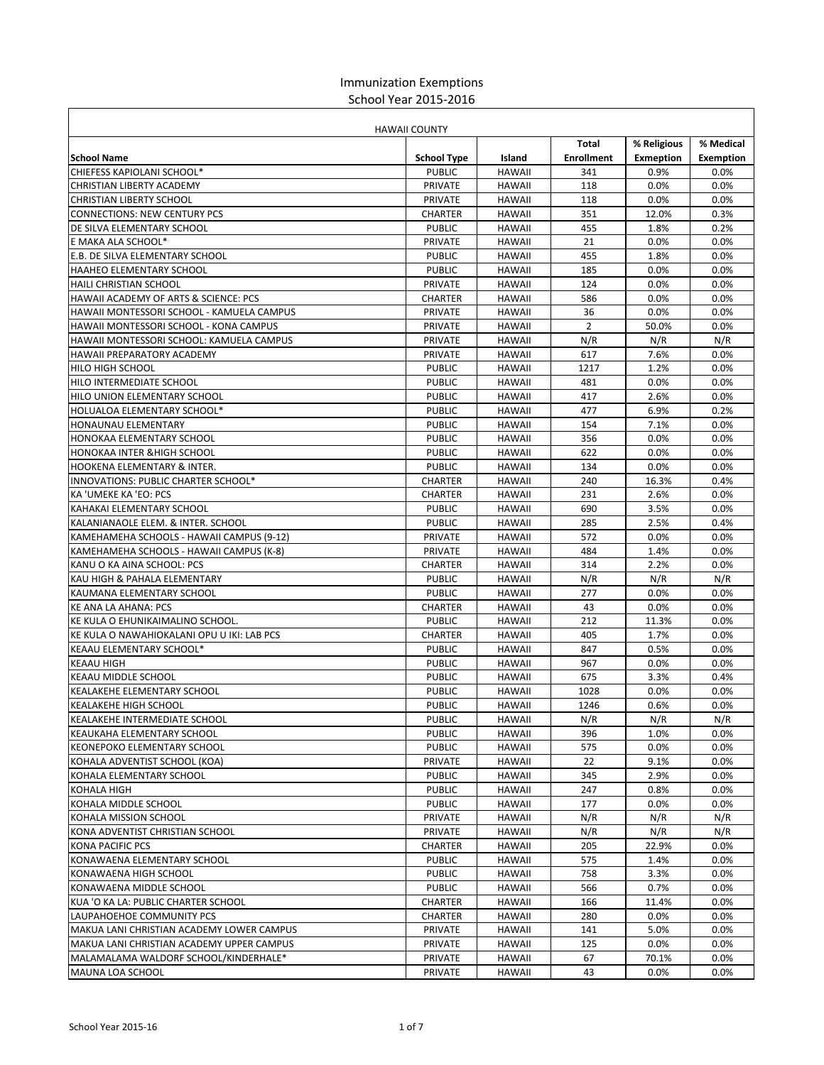## Immunization Exemptions School Year 2015-2016

| <b>HAWAII COUNTY</b>                                     |                          |                                |                   |                  |                  |
|----------------------------------------------------------|--------------------------|--------------------------------|-------------------|------------------|------------------|
|                                                          |                          |                                | Total             | % Religious      | % Medical        |
| <b>School Name</b>                                       | <b>School Type</b>       | Island                         | <b>Enrollment</b> | <b>Exmeption</b> | <b>Exemption</b> |
| CHIEFESS KAPIOLANI SCHOOL*                               | <b>PUBLIC</b>            | <b>HAWAII</b>                  | 341               | 0.9%             | 0.0%             |
| CHRISTIAN LIBERTY ACADEMY                                | PRIVATE                  | <b>HAWAII</b>                  | 118               | 0.0%             | 0.0%             |
| <b>CHRISTIAN LIBERTY SCHOOL</b>                          | <b>PRIVATE</b>           | <b>HAWAII</b>                  | 118               | 0.0%             | 0.0%             |
| <b>CONNECTIONS: NEW CENTURY PCS</b>                      | <b>CHARTER</b>           | <b>HAWAII</b>                  | 351               | 12.0%            | 0.3%             |
| DE SILVA ELEMENTARY SCHOOL                               | <b>PUBLIC</b>            | <b>HAWAII</b>                  | 455               | 1.8%             | 0.2%             |
| E MAKA ALA SCHOOL*                                       | PRIVATE                  | <b>HAWAII</b>                  | 21                | 0.0%             | 0.0%             |
| <b>E.B. DE SILVA ELEMENTARY SCHOOL</b>                   | <b>PUBLIC</b>            | <b>HAWAII</b>                  | 455               | 1.8%             | 0.0%             |
| <b>HAAHEO ELEMENTARY SCHOOL</b>                          | <b>PUBLIC</b>            | <b>HAWAII</b>                  | 185               | $0.0\%$          | 0.0%             |
| <b>HAILI CHRISTIAN SCHOOL</b>                            | <b>PRIVATE</b>           | <b>HAWAII</b>                  | 124               | 0.0%             | 0.0%             |
| HAWAII ACADEMY OF ARTS & SCIENCE: PCS                    | <b>CHARTER</b>           | <b>HAWAII</b>                  | 586               | 0.0%             | 0.0%             |
| HAWAII MONTESSORI SCHOOL - KAMUELA CAMPUS                | <b>PRIVATE</b>           | <b>HAWAII</b>                  | 36                | 0.0%             | 0.0%             |
| HAWAII MONTESSORI SCHOOL - KONA CAMPUS                   | PRIVATE                  | <b>HAWAII</b>                  | $\overline{2}$    | 50.0%            | 0.0%             |
| HAWAII MONTESSORI SCHOOL: KAMUELA CAMPUS                 | <b>PRIVATE</b>           | <b>HAWAII</b>                  | N/R               | N/R              | N/R              |
| HAWAII PREPARATORY ACADEMY                               | PRIVATE                  | <b>HAWAII</b>                  | 617               | 7.6%             | 0.0%             |
| <b>HILO HIGH SCHOOL</b>                                  | <b>PUBLIC</b>            | <b>HAWAII</b>                  | 1217              | 1.2%             | 0.0%             |
| <b>HILO INTERMEDIATE SCHOOL</b>                          | <b>PUBLIC</b>            | <b>HAWAII</b>                  | 481               | 0.0%             | 0.0%             |
| <b>HILO UNION ELEMENTARY SCHOOL</b>                      | <b>PUBLIC</b>            | <b>HAWAII</b>                  | 417               | 2.6%             | 0.0%             |
| HOLUALOA ELEMENTARY SCHOOL*                              | <b>PUBLIC</b>            | <b>HAWAII</b>                  | 477               | 6.9%             | 0.2%             |
| <b>HONAUNAU ELEMENTARY</b>                               | <b>PUBLIC</b>            | <b>HAWAII</b>                  | 154               | 7.1%             | 0.0%             |
| HONOKAA ELEMENTARY SCHOOL                                | <b>PUBLIC</b>            | <b>HAWAII</b>                  | 356               | 0.0%             | 0.0%             |
| <b>HONOKAA INTER &amp;HIGH SCHOOL</b>                    | <b>PUBLIC</b>            | <b>HAWAII</b>                  | 622               | $0.0\%$          | 0.0%             |
| <b>HOOKENA ELEMENTARY &amp; INTER.</b>                   | <b>PUBLIC</b>            | <b>HAWAII</b>                  | 134               | 0.0%             | 0.0%             |
| INNOVATIONS: PUBLIC CHARTER SCHOOL*                      | <b>CHARTER</b>           | <b>HAWAII</b>                  | 240               | 16.3%            | 0.4%             |
| KA 'UMEKE KA 'EO: PCS                                    | <b>CHARTER</b>           | <b>HAWAII</b>                  | 231               | 2.6%             | 0.0%             |
| KAHAKAI ELEMENTARY SCHOOL                                | <b>PUBLIC</b>            | <b>HAWAII</b>                  | 690               | 3.5%             | 0.0%             |
| KALANIANAOLE ELEM. & INTER. SCHOOL                       | <b>PUBLIC</b>            | <b>HAWAII</b>                  | 285               | 2.5%             | 0.4%             |
| KAMEHAMEHA SCHOOLS - HAWAII CAMPUS (9-12)                | PRIVATE                  | <b>HAWAII</b>                  | 572               | 0.0%             | 0.0%             |
| KAMEHAMEHA SCHOOLS - HAWAII CAMPUS (K-8)                 | <b>PRIVATE</b>           | <b>HAWAII</b>                  | 484               | 1.4%             | 0.0%             |
| KANU O KA AINA SCHOOL: PCS                               | <b>CHARTER</b>           | <b>HAWAII</b>                  | 314<br>N/R        | 2.2%<br>N/R      | 0.0%<br>N/R      |
| KAU HIGH & PAHALA ELEMENTARY                             | <b>PUBLIC</b>            | <b>HAWAII</b>                  |                   |                  |                  |
| KAUMANA ELEMENTARY SCHOOL<br><b>KE ANA LA AHANA: PCS</b> | <b>PUBLIC</b>            | <b>HAWAII</b><br><b>HAWAII</b> | 277<br>43         | 0.0%<br>0.0%     | 0.0%<br>0.0%     |
| KE KULA O EHUNIKAIMALINO SCHOOL.                         | CHARTER<br><b>PUBLIC</b> | <b>HAWAII</b>                  | 212               | 11.3%            | 0.0%             |
| KE KULA O NAWAHIOKALANI OPU U IKI: LAB PCS               | <b>CHARTER</b>           | <b>HAWAII</b>                  | 405               | 1.7%             | 0.0%             |
| KEAAU ELEMENTARY SCHOOL*                                 | <b>PUBLIC</b>            | <b>HAWAII</b>                  | 847               | 0.5%             | 0.0%             |
| <b>KEAAU HIGH</b>                                        | <b>PUBLIC</b>            | <b>HAWAII</b>                  | 967               | 0.0%             | 0.0%             |
| <b>KEAAU MIDDLE SCHOOL</b>                               | <b>PUBLIC</b>            | <b>HAWAII</b>                  | 675               | 3.3%             | 0.4%             |
| <b>KEALAKEHE ELEMENTARY SCHOOL</b>                       | <b>PUBLIC</b>            | <b>HAWAII</b>                  | 1028              | 0.0%             | 0.0%             |
| <b>KEALAKEHE HIGH SCHOOL</b>                             | <b>PUBLIC</b>            | <b>HAWAII</b>                  | 1246              | 0.6%             | 0.0%             |
| KEALAKEHE INTERMEDIATE SCHOOL                            | <b>PUBLIC</b>            | <b>HAWAII</b>                  | N/R               | N/R              | N/R              |
| KEAUKAHA ELEMENTARY SCHOOL                               | <b>PUBLIC</b>            | HAWAII                         | 396               | 1.0%             | 0.0%             |
| <b>KEONEPOKO ELEMENTARY SCHOOL</b>                       | <b>PUBLIC</b>            | <b>HAWAII</b>                  | 575               | $0.0\%$          | 0.0%             |
| KOHALA ADVENTIST SCHOOL (KOA)                            | PRIVATE                  | HAWAII                         | 22                | 9.1%             | 0.0%             |
| KOHALA ELEMENTARY SCHOOL                                 | <b>PUBLIC</b>            | HAWAII                         | 345               | 2.9%             | $0.0\%$          |
| <b>KOHALA HIGH</b>                                       | <b>PUBLIC</b>            | <b>HAWAII</b>                  | 247               | 0.8%             | 0.0%             |
| KOHALA MIDDLE SCHOOL                                     | <b>PUBLIC</b>            | HAWAII                         | 177               | $0.0\%$          | 0.0%             |
| KOHALA MISSION SCHOOL                                    | PRIVATE                  | HAWAII                         | N/R               | N/R              | N/R              |
| KONA ADVENTIST CHRISTIAN SCHOOL                          | PRIVATE                  | HAWAII                         | N/R               | N/R              | N/R              |
| KONA PACIFIC PCS                                         | CHARTER                  | HAWAII                         | 205               | 22.9%            | $0.0\%$          |
| KONAWAENA ELEMENTARY SCHOOL                              | <b>PUBLIC</b>            | HAWAII                         | 575               | 1.4%             | $0.0\%$          |
| KONAWAENA HIGH SCHOOL                                    | <b>PUBLIC</b>            | HAWAII                         | 758               | 3.3%             | $0.0\%$          |
| KONAWAENA MIDDLE SCHOOL                                  | <b>PUBLIC</b>            | HAWAII                         | 566               | 0.7%             | $0.0\%$          |
| KUA 'O KA LA: PUBLIC CHARTER SCHOOL                      | CHARTER                  | HAWAII                         | 166               | 11.4%            | $0.0\%$          |
| LAUPAHOEHOE COMMUNITY PCS                                | CHARTER                  | HAWAII                         | 280               | $0.0\%$          | 0.0%             |
| MAKUA LANI CHRISTIAN ACADEMY LOWER CAMPUS                | PRIVATE                  | HAWAII                         | 141               | 5.0%             | $0.0\%$          |
| MAKUA LANI CHRISTIAN ACADEMY UPPER CAMPUS                | PRIVATE                  | HAWAII                         | 125               | $0.0\%$          | $0.0\%$          |
| MALAMALAMA WALDORF SCHOOL/KINDERHALE*                    | PRIVATE                  | HAWAII                         | 67                | 70.1%            | $0.0\%$          |
| MAUNA LOA SCHOOL                                         | PRIVATE                  | HAWAII                         | 43                | 0.0%             | 0.0%             |
|                                                          |                          |                                |                   |                  |                  |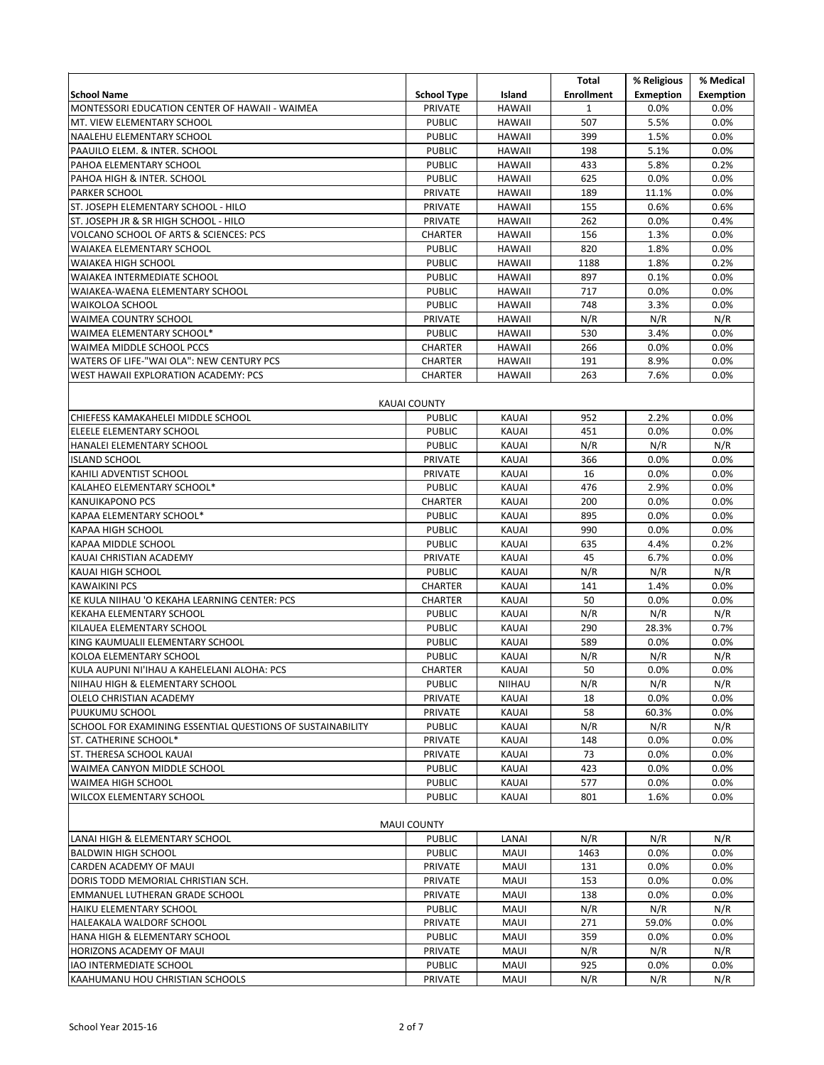|                                                                |                          |               | Total               | % Religious      | % Medical        |
|----------------------------------------------------------------|--------------------------|---------------|---------------------|------------------|------------------|
| <b>School Name</b>                                             | <b>School Type</b>       | Island        | <b>Enrollment</b>   | <b>Exmeption</b> | <b>Exemption</b> |
| MONTESSORI EDUCATION CENTER OF HAWAII - WAIMEA                 | PRIVATE<br><b>PUBLIC</b> | <b>HAWAII</b> | $\mathbf{1}$<br>507 | 0.0%             | 0.0%             |
| MT. VIEW ELEMENTARY SCHOOL<br>NAALEHU ELEMENTARY SCHOOL        | <b>PUBLIC</b>            | <b>HAWAII</b> | 399                 | 5.5%<br>1.5%     | 0.0%<br>0.0%     |
|                                                                |                          | <b>HAWAII</b> |                     |                  |                  |
| PAAUILO ELEM. & INTER. SCHOOL                                  | <b>PUBLIC</b>            | <b>HAWAII</b> | 198<br>433          | 5.1%             | 0.0%<br>0.2%     |
| PAHOA ELEMENTARY SCHOOL                                        | <b>PUBLIC</b>            | <b>HAWAII</b> |                     | 5.8%             |                  |
| PAHOA HIGH & INTER. SCHOOL<br><b>PARKER SCHOOL</b>             | <b>PUBLIC</b>            | <b>HAWAII</b> | 625<br>189          | 0.0%             | 0.0%<br>0.0%     |
|                                                                | PRIVATE<br>PRIVATE       | <b>HAWAII</b> | 155                 | 11.1%<br>0.6%    | 0.6%             |
| ST. JOSEPH ELEMENTARY SCHOOL - HILO                            |                          | <b>HAWAII</b> | 262                 |                  | 0.4%             |
| ST. JOSEPH JR & SR HIGH SCHOOL - HILO                          | PRIVATE                  | <b>HAWAII</b> | 156                 | 0.0%             | 0.0%             |
| VOLCANO SCHOOL OF ARTS & SCIENCES: PCS                         | <b>CHARTER</b>           | <b>HAWAII</b> |                     | 1.3%             |                  |
| <b>WAIAKEA ELEMENTARY SCHOOL</b>                               | <b>PUBLIC</b>            | <b>HAWAII</b> | 820                 | 1.8%             | 0.0%             |
| <b>WAIAKEA HIGH SCHOOL</b>                                     | <b>PUBLIC</b>            | <b>HAWAII</b> | 1188                | 1.8%             | 0.2%             |
| WAIAKEA INTERMEDIATE SCHOOL<br>WAIAKEA-WAENA ELEMENTARY SCHOOL | <b>PUBLIC</b>            | <b>HAWAII</b> | 897<br>717          | 0.1%<br>0.0%     | 0.0%<br>0.0%     |
|                                                                | <b>PUBLIC</b>            | <b>HAWAII</b> |                     |                  |                  |
| <b>WAIKOLOA SCHOOL</b>                                         | <b>PUBLIC</b>            | <b>HAWAII</b> | 748                 | 3.3%             | 0.0%             |
| <b>WAIMEA COUNTRY SCHOOL</b>                                   | PRIVATE                  | <b>HAWAII</b> | N/R                 | N/R              | N/R              |
| WAIMEA ELEMENTARY SCHOOL*                                      | <b>PUBLIC</b>            | <b>HAWAII</b> | 530                 | 3.4%             | 0.0%             |
| WAIMEA MIDDLE SCHOOL PCCS                                      | <b>CHARTER</b>           | <b>HAWAII</b> | 266                 | 0.0%             | 0.0%             |
| WATERS OF LIFE-"WAI OLA": NEW CENTURY PCS                      | <b>CHARTER</b>           | <b>HAWAII</b> | 191                 | 8.9%             | 0.0%             |
| WEST HAWAII EXPLORATION ACADEMY: PCS                           | <b>CHARTER</b>           | <b>HAWAII</b> | 263                 | 7.6%             | 0.0%             |
|                                                                | <b>KAUAI COUNTY</b>      |               |                     |                  |                  |
| CHIEFESS KAMAKAHELEI MIDDLE SCHOOL                             | <b>PUBLIC</b>            | KAUAI         | 952                 | 2.2%             | 0.0%             |
| ELEELE ELEMENTARY SCHOOL                                       | <b>PUBLIC</b>            | KAUAI         | 451                 | 0.0%             | 0.0%             |
| HANALEI ELEMENTARY SCHOOL                                      | <b>PUBLIC</b>            | <b>KAUAI</b>  | N/R                 | N/R              | N/R              |
| <b>ISLAND SCHOOL</b>                                           | PRIVATE                  | KAUAI         | 366                 | 0.0%             | 0.0%             |
| KAHILI ADVENTIST SCHOOL                                        | PRIVATE                  | KAUAI         | 16                  | 0.0%             | 0.0%             |
| KALAHEO ELEMENTARY SCHOOL*                                     | <b>PUBLIC</b>            | KAUAI         | 476                 | 2.9%             | 0.0%             |
| <b>KANUIKAPONO PCS</b>                                         | <b>CHARTER</b>           | KAUAI         | 200                 | 0.0%             | 0.0%             |
| KAPAA ELEMENTARY SCHOOL*                                       | <b>PUBLIC</b>            | KAUAI         | 895                 | 0.0%             | 0.0%             |
| <b>KAPAA HIGH SCHOOL</b>                                       | <b>PUBLIC</b>            | KAUAI         | 990                 | 0.0%             | 0.0%             |
| KAPAA MIDDLE SCHOOL                                            | <b>PUBLIC</b>            | <b>KAUAI</b>  | 635                 | 4.4%             | 0.2%             |
| KAUAI CHRISTIAN ACADEMY                                        | PRIVATE                  | KAUAI         | 45                  | 6.7%             | 0.0%             |
| <b>KAUAI HIGH SCHOOL</b>                                       | <b>PUBLIC</b>            | KAUAI         | N/R                 | N/R              | N/R              |
| <b>KAWAIKINI PCS</b>                                           | <b>CHARTER</b>           | KAUAI         | 141                 | 1.4%             | 0.0%             |
| KE KULA NIIHAU 'O KEKAHA LEARNING CENTER: PCS                  | <b>CHARTER</b>           | <b>KAUAI</b>  | 50                  | 0.0%             | 0.0%             |
| KEKAHA ELEMENTARY SCHOOL                                       | <b>PUBLIC</b>            | KAUAI         | N/R                 | N/R              | N/R              |
| KILAUEA ELEMENTARY SCHOOL                                      | <b>PUBLIC</b>            | KAUAI         | 290                 | 28.3%            | 0.7%             |
| KING KAUMUALII ELEMENTARY SCHOOL                               | <b>PUBLIC</b>            | KAUAI         | 589                 | $0.0\%$          | 0.0%             |
| KOLOA ELEMENTARY SCHOOL                                        | <b>PUBLIC</b>            | KAUAI         | N/R                 | N/R              | N/R              |
| KULA AUPUNI NI'IHAU A KAHELELANI ALOHA: PCS                    | <b>CHARTER</b>           | KAUAI         | 50                  | 0.0%             | 0.0%             |
| NIIHAU HIGH & ELEMENTARY SCHOOL                                | <b>PUBLIC</b>            | NIIHAU        | N/R                 | N/R              | N/R              |
| OLELO CHRISTIAN ACADEMY                                        | PRIVATE                  | KAUAI         | 18                  | $0.0\%$          | 0.0%             |
| PUUKUMU SCHOOL                                                 | PRIVATE                  | <b>KAUAI</b>  | 58                  | 60.3%            | 0.0%             |
| SCHOOL FOR EXAMINING ESSENTIAL QUESTIONS OF SUSTAINABILITY     | <b>PUBLIC</b>            | KAUAI         | N/R                 | N/R              | N/R              |
| ST. CATHERINE SCHOOL*                                          | PRIVATE                  | KAUAI         | 148                 | $0.0\%$          | 0.0%             |
| ST. THERESA SCHOOL KAUAI                                       | PRIVATE                  | KAUAI         | 73                  | $0.0\%$          | 0.0%             |
| WAIMEA CANYON MIDDLE SCHOOL                                    | <b>PUBLIC</b>            | KAUAI         | 423                 | $0.0\%$          | 0.0%             |
| WAIMEA HIGH SCHOOL                                             | <b>PUBLIC</b>            | KAUAI         | 577                 | $0.0\%$          | 0.0%             |
| WILCOX ELEMENTARY SCHOOL                                       | <b>PUBLIC</b>            | <b>KAUAI</b>  | 801                 | 1.6%             | 0.0%             |
|                                                                |                          |               |                     |                  |                  |
|                                                                | <b>MAUI COUNTY</b>       |               |                     |                  |                  |
| LANAI HIGH & ELEMENTARY SCHOOL                                 | <b>PUBLIC</b>            | LANAI         | N/R                 | N/R              | N/R              |
| <b>BALDWIN HIGH SCHOOL</b>                                     | <b>PUBLIC</b>            | MAUI          | 1463                | 0.0%             | 0.0%             |
| CARDEN ACADEMY OF MAUI                                         | PRIVATE                  | <b>MAUI</b>   | 131                 | 0.0%             | 0.0%             |
| DORIS TODD MEMORIAL CHRISTIAN SCH.                             | PRIVATE                  | <b>MAUI</b>   | 153                 | 0.0%             | 0.0%             |
| EMMANUEL LUTHERAN GRADE SCHOOL                                 | PRIVATE                  | MAUI          | 138                 | $0.0\%$          | 0.0%             |
| HAIKU ELEMENTARY SCHOOL                                        | <b>PUBLIC</b>            | MAUI          | N/R                 | N/R              | N/R              |
| HALEAKALA WALDORF SCHOOL                                       | PRIVATE                  | MAUI          | 271                 | 59.0%            | 0.0%             |
| HANA HIGH & ELEMENTARY SCHOOL                                  | <b>PUBLIC</b>            | MAUI          | 359                 | $0.0\%$          | 0.0%             |
| HORIZONS ACADEMY OF MAUI                                       | <b>PRIVATE</b>           | MAUI          | N/R                 | N/R              | N/R              |
| IAO INTERMEDIATE SCHOOL                                        | PUBLIC                   | MAUI          | 925                 | $0.0\%$          | 0.0%             |
| KAAHUMANU HOU CHRISTIAN SCHOOLS                                | PRIVATE                  | MAUI          | N/R                 | N/R              | N/R              |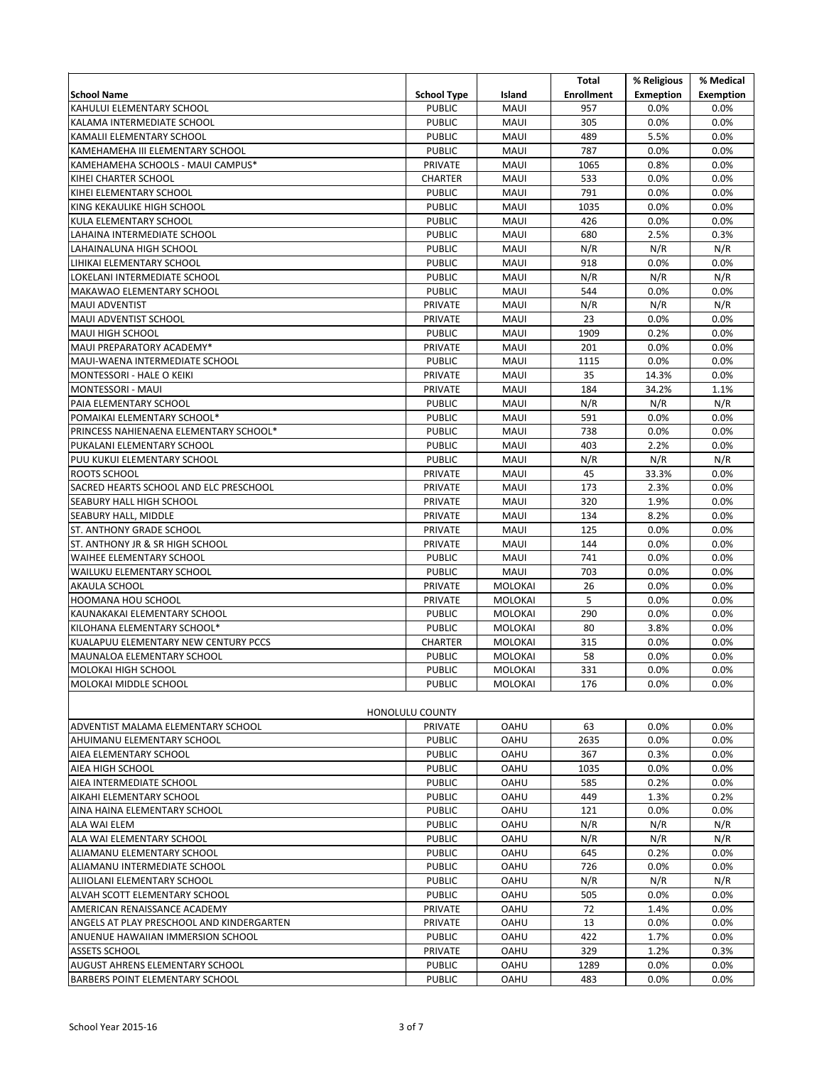|                                                                    |                                 |                                  | Total             | % Religious      | % Medical        |
|--------------------------------------------------------------------|---------------------------------|----------------------------------|-------------------|------------------|------------------|
| <b>School Name</b>                                                 | <b>School Type</b>              | Island                           | <b>Enrollment</b> | <b>Exmeption</b> | <b>Exemption</b> |
| KAHULUI ELEMENTARY SCHOOL                                          | <b>PUBLIC</b>                   | <b>MAUI</b>                      | 957               | 0.0%             | 0.0%             |
| KALAMA INTERMEDIATE SCHOOL                                         | <b>PUBLIC</b>                   | <b>MAUI</b>                      | 305               | 0.0%             | 0.0%             |
| KAMALII ELEMENTARY SCHOOL                                          | <b>PUBLIC</b>                   | <b>MAUI</b>                      | 489               | 5.5%             | 0.0%             |
| KAMEHAMEHA III ELEMENTARY SCHOOL                                   | <b>PUBLIC</b>                   | <b>MAUI</b>                      | 787               | 0.0%             | 0.0%             |
| KAMEHAMEHA SCHOOLS - MAUI CAMPUS*                                  | PRIVATE                         | <b>MAUI</b>                      | 1065              | 0.8%             | 0.0%             |
| KIHEI CHARTER SCHOOL                                               | CHARTER                         | <b>MAUI</b>                      | 533               | 0.0%             | 0.0%             |
| KIHEI ELEMENTARY SCHOOL                                            | <b>PUBLIC</b>                   | <b>MAUI</b>                      | 791               | 0.0%             | 0.0%             |
| KING KEKAULIKE HIGH SCHOOL                                         | <b>PUBLIC</b>                   | <b>MAUI</b>                      | 1035              | 0.0%             | 0.0%             |
| KULA ELEMENTARY SCHOOL                                             | <b>PUBLIC</b>                   | <b>MAUI</b>                      | 426               | 0.0%             | 0.0%             |
| LAHAINA INTERMEDIATE SCHOOL                                        | <b>PUBLIC</b>                   | <b>MAUI</b>                      | 680               | 2.5%             | 0.3%             |
| LAHAINALUNA HIGH SCHOOL                                            | <b>PUBLIC</b>                   | <b>MAUI</b>                      | N/R               | N/R              | N/R              |
| LIHIKAI ELEMENTARY SCHOOL                                          | <b>PUBLIC</b>                   | <b>MAUI</b>                      | 918               | 0.0%             | 0.0%             |
| LOKELANI INTERMEDIATE SCHOOL                                       | <b>PUBLIC</b>                   | <b>MAUI</b>                      | N/R               | N/R              | N/R              |
| MAKAWAO ELEMENTARY SCHOOL                                          | <b>PUBLIC</b>                   | <b>MAUI</b>                      | 544               | 0.0%             | 0.0%             |
| <b>MAUI ADVENTIST</b>                                              | PRIVATE                         | <b>MAUI</b>                      | N/R               | N/R              | N/R              |
| MAUI ADVENTIST SCHOOL                                              | PRIVATE                         | <b>MAUI</b>                      | 23                | 0.0%             | 0.0%             |
| MAUI HIGH SCHOOL                                                   | <b>PUBLIC</b>                   | <b>MAUI</b>                      | 1909              | 0.2%             | 0.0%             |
| MAUI PREPARATORY ACADEMY*                                          | PRIVATE                         | <b>MAUI</b>                      | 201               | 0.0%             | 0.0%             |
| MAUI-WAENA INTERMEDIATE SCHOOL                                     | <b>PUBLIC</b>                   | <b>MAUI</b>                      | 1115              | 0.0%             | 0.0%             |
| MONTESSORI - HALE O KEIKI                                          | PRIVATE                         | <b>MAUI</b>                      | 35                | 14.3%            | 0.0%             |
| MONTESSORI - MAUI                                                  | <b>PRIVATE</b>                  | <b>MAUI</b>                      | 184               | 34.2%            | 1.1%             |
| PAIA ELEMENTARY SCHOOL                                             | <b>PUBLIC</b>                   | <b>MAUI</b>                      | N/R               | N/R              | N/R              |
| POMAIKAI ELEMENTARY SCHOOL*                                        | <b>PUBLIC</b>                   | <b>MAUI</b>                      | 591               | 0.0%             | 0.0%             |
| PRINCESS NAHIENAENA ELEMENTARY SCHOOL*                             | <b>PUBLIC</b>                   | <b>MAUI</b>                      | 738               | 0.0%             | 0.0%             |
| PUKALANI ELEMENTARY SCHOOL                                         | <b>PUBLIC</b>                   | <b>MAUI</b>                      | 403               | 2.2%             | 0.0%             |
| PUU KUKUI ELEMENTARY SCHOOL                                        | <b>PUBLIC</b>                   | <b>MAUI</b>                      | N/R               | N/R              | N/R              |
| ROOTS SCHOOL                                                       | PRIVATE                         | <b>MAUI</b>                      | 45                | 33.3%            | 0.0%             |
| SACRED HEARTS SCHOOL AND ELC PRESCHOOL                             | PRIVATE                         | <b>MAUI</b>                      | 173               | 2.3%             | 0.0%             |
| SEABURY HALL HIGH SCHOOL                                           | PRIVATE                         | <b>MAUI</b>                      | 320               | 1.9%             | 0.0%             |
| SEABURY HALL, MIDDLE                                               | PRIVATE                         | <b>MAUI</b>                      | 134               | 8.2%             | 0.0%             |
| ST. ANTHONY GRADE SCHOOL                                           | PRIVATE                         | <b>MAUI</b>                      | 125               | 0.0%             | 0.0%             |
| ST. ANTHONY JR & SR HIGH SCHOOL                                    | PRIVATE                         | <b>MAUI</b>                      | 144               | 0.0%             | 0.0%             |
| WAIHEE ELEMENTARY SCHOOL                                           | <b>PUBLIC</b>                   | <b>MAUI</b>                      | 741               | 0.0%             | 0.0%             |
| <b>WAILUKU ELEMENTARY SCHOOL</b>                                   | <b>PUBLIC</b>                   | <b>MAUI</b>                      | 703               | 0.0%             | 0.0%             |
| AKAULA SCHOOL                                                      | PRIVATE                         | <b>MOLOKAI</b>                   | 26                | 0.0%             | 0.0%             |
| HOOMANA HOU SCHOOL                                                 | PRIVATE                         | <b>MOLOKAI</b>                   | 5                 | 0.0%             | 0.0%             |
| KAUNAKAKAI ELEMENTARY SCHOOL                                       | <b>PUBLIC</b>                   | MOLOKAI                          | 290               | 0.0%             | 0.0%             |
| KILOHANA ELEMENTARY SCHOOL*                                        | <b>PUBLIC</b>                   | MOLOKAI                          | 80                | 3.8%             | 0.0%             |
| KUALAPUU ELEMENTARY NEW CENTURY PCCS<br>MAUNALOA ELEMENTARY SCHOOL | <b>CHARTER</b><br><b>PUBLIC</b> | <b>MOLOKAI</b><br><b>MOLOKAI</b> | 315<br>58         | 0.0%<br>0.0%     | 0.0%<br>0.0%     |
|                                                                    | PUBLIC                          |                                  | 331               | 0.0%             | 0.0%             |
| MOLOKAI HIGH SCHOOL                                                |                                 | MOLOKAI                          | 176               | 0.0%             |                  |
| MOLOKAI MIDDLE SCHOOL                                              | <b>PUBLIC</b>                   | MOLOKAI                          |                   |                  | 0.0%             |
|                                                                    | <b>HONOLULU COUNTY</b>          |                                  |                   |                  |                  |
| ADVENTIST MALAMA ELEMENTARY SCHOOL                                 | <b>PRIVATE</b>                  | <b>OAHU</b>                      | 63                | $0.0\%$          | 0.0%             |
| AHUIMANU ELEMENTARY SCHOOL                                         | <b>PUBLIC</b>                   | <b>OAHU</b>                      | 2635              | 0.0%             | 0.0%             |
| AIEA ELEMENTARY SCHOOL                                             | <b>PUBLIC</b>                   | <b>OAHU</b>                      | 367               | 0.3%             | 0.0%             |
| AIEA HIGH SCHOOL                                                   | <b>PUBLIC</b>                   | <b>OAHU</b>                      | 1035              | 0.0%             | 0.0%             |
| AIEA INTERMEDIATE SCHOOL                                           | <b>PUBLIC</b>                   | <b>OAHU</b>                      | 585               | 0.2%             | 0.0%             |
| AIKAHI ELEMENTARY SCHOOL                                           | <b>PUBLIC</b>                   | <b>OAHU</b>                      | 449               | 1.3%             | 0.2%             |
| AINA HAINA ELEMENTARY SCHOOL                                       | <b>PUBLIC</b>                   | <b>OAHU</b>                      | 121               | 0.0%             | 0.0%             |
| ALA WAI ELEM                                                       | <b>PUBLIC</b>                   | <b>OAHU</b>                      | N/R               | N/R              | N/R              |
| ALA WAI ELEMENTARY SCHOOL                                          | <b>PUBLIC</b>                   | <b>OAHU</b>                      | N/R               | N/R              | N/R              |
| ALIAMANU ELEMENTARY SCHOOL                                         | <b>PUBLIC</b>                   | <b>OAHU</b>                      | 645               | 0.2%             | 0.0%             |
| ALIAMANU INTERMEDIATE SCHOOL                                       | <b>PUBLIC</b>                   | <b>OAHU</b>                      | 726               | 0.0%             | 0.0%             |
| ALIIOLANI ELEMENTARY SCHOOL                                        | <b>PUBLIC</b>                   | <b>OAHU</b>                      | N/R               | N/R              | N/R              |
| ALVAH SCOTT ELEMENTARY SCHOOL                                      | <b>PUBLIC</b>                   | OAHU                             | 505               | 0.0%             | 0.0%             |
| AMERICAN RENAISSANCE ACADEMY                                       | <b>PRIVATE</b>                  | <b>OAHU</b>                      | 72                | 1.4%             | 0.0%             |
| ANGELS AT PLAY PRESCHOOL AND KINDERGARTEN                          | PRIVATE                         | <b>OAHU</b>                      | 13                | 0.0%             | 0.0%             |
| ANUENUE HAWAIIAN IMMERSION SCHOOL                                  | <b>PUBLIC</b>                   | <b>OAHU</b>                      | 422               | 1.7%             | 0.0%             |
| ASSETS SCHOOL                                                      | <b>PRIVATE</b>                  | OAHU                             | 329               | 1.2%             | 0.3%             |
| AUGUST AHRENS ELEMENTARY SCHOOL                                    | <b>PUBLIC</b>                   | OAHU                             | 1289              | $0.0\%$          | $0.0\%$          |
| BARBERS POINT ELEMENTARY SCHOOL                                    | <b>PUBLIC</b>                   | OAHU                             | 483               | 0.0%             | 0.0%             |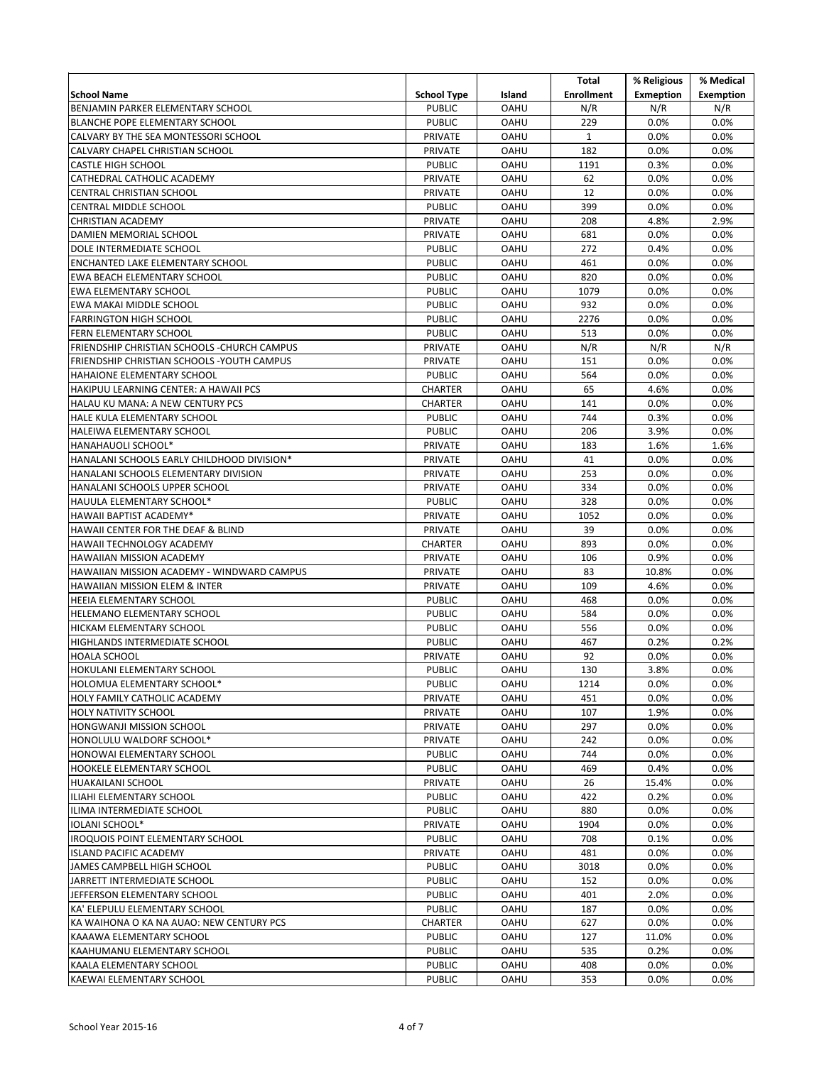| School Name<br>BENJAMIN PARKER ELEMENTARY SCHOOL<br><b>BLANCHE POPE ELEMENTARY SCHOOL</b><br>CALVARY BY THE SEA MONTESSORI SCHOOL | <b>School Type</b><br><b>PUBLIC</b><br><b>PUBLIC</b> | Island<br><b>OAHU</b>      | <b>Enrollment</b><br>N/R | <b>Exmeption</b><br>N/R | <b>Exemption</b> |
|-----------------------------------------------------------------------------------------------------------------------------------|------------------------------------------------------|----------------------------|--------------------------|-------------------------|------------------|
|                                                                                                                                   |                                                      |                            |                          |                         |                  |
|                                                                                                                                   |                                                      |                            |                          |                         | N/R              |
|                                                                                                                                   |                                                      | <b>OAHU</b>                | 229                      | 0.0%                    | 0.0%             |
|                                                                                                                                   | PRIVATE                                              | <b>OAHU</b>                | $\mathbf{1}$             | 0.0%                    | 0.0%             |
| CALVARY CHAPEL CHRISTIAN SCHOOL                                                                                                   | PRIVATE                                              | <b>OAHU</b>                | 182                      | 0.0%                    | 0.0%             |
| <b>CASTLE HIGH SCHOOL</b>                                                                                                         | <b>PUBLIC</b>                                        | <b>OAHU</b>                | 1191                     | 0.3%                    | 0.0%             |
| CATHEDRAL CATHOLIC ACADEMY                                                                                                        | PRIVATE                                              | <b>OAHU</b>                | 62                       | 0.0%                    | 0.0%             |
| CENTRAL CHRISTIAN SCHOOL                                                                                                          | PRIVATE                                              | <b>OAHU</b>                | 12                       | 0.0%                    | 0.0%             |
| CENTRAL MIDDLE SCHOOL                                                                                                             | <b>PUBLIC</b>                                        | <b>OAHU</b>                | 399                      | 0.0%                    | 0.0%             |
| <b>CHRISTIAN ACADEMY</b>                                                                                                          | <b>PRIVATE</b>                                       | <b>OAHU</b>                | 208                      | 4.8%                    | 2.9%             |
| DAMIEN MEMORIAL SCHOOL                                                                                                            | PRIVATE                                              | OAHU                       | 681                      | 0.0%                    | 0.0%             |
| DOLE INTERMEDIATE SCHOOL                                                                                                          | <b>PUBLIC</b>                                        | <b>OAHU</b>                | 272                      | 0.4%                    | 0.0%             |
| ENCHANTED LAKE ELEMENTARY SCHOOL                                                                                                  | <b>PUBLIC</b>                                        | <b>OAHU</b>                | 461                      | 0.0%                    | 0.0%             |
| EWA BEACH ELEMENTARY SCHOOL                                                                                                       | <b>PUBLIC</b>                                        | OAHU                       | 820                      | 0.0%                    | 0.0%             |
| EWA ELEMENTARY SCHOOL                                                                                                             | <b>PUBLIC</b>                                        | <b>OAHU</b>                | 1079                     | 0.0%                    | 0.0%             |
| EWA MAKAI MIDDLE SCHOOL                                                                                                           | <b>PUBLIC</b>                                        | <b>OAHU</b>                | 932                      | 0.0%                    | 0.0%             |
| <b>FARRINGTON HIGH SCHOOL</b>                                                                                                     | <b>PUBLIC</b>                                        | <b>OAHU</b>                | 2276                     | 0.0%                    | 0.0%             |
| FERN ELEMENTARY SCHOOL                                                                                                            | <b>PUBLIC</b>                                        | <b>OAHU</b>                | 513                      | 0.0%                    | 0.0%             |
| FRIENDSHIP CHRISTIAN SCHOOLS - CHURCH CAMPUS                                                                                      | PRIVATE                                              | OAHU                       | N/R                      | N/R                     | N/R              |
| FRIENDSHIP CHRISTIAN SCHOOLS - YOUTH CAMPUS<br>HAHAIONE ELEMENTARY SCHOOL                                                         | <b>PRIVATE</b><br><b>PUBLIC</b>                      | <b>OAHU</b><br><b>OAHU</b> | 151<br>564               | 0.0%<br>0.0%            | 0.0%<br>0.0%     |
| HAKIPUU LEARNING CENTER: A HAWAII PCS                                                                                             | <b>CHARTER</b>                                       | <b>OAHU</b>                | 65                       | 4.6%                    | 0.0%             |
| HALAU KU MANA: A NEW CENTURY PCS                                                                                                  | <b>CHARTER</b>                                       | <b>OAHU</b>                | 141                      | 0.0%                    | 0.0%             |
| HALE KULA ELEMENTARY SCHOOL                                                                                                       | <b>PUBLIC</b>                                        | <b>OAHU</b>                | 744                      | 0.3%                    | 0.0%             |
| HALEIWA ELEMENTARY SCHOOL                                                                                                         | <b>PUBLIC</b>                                        | <b>OAHU</b>                | 206                      | 3.9%                    | 0.0%             |
| HANAHAUOLI SCHOOL*                                                                                                                | <b>PRIVATE</b>                                       | <b>OAHU</b>                | 183                      | 1.6%                    | 1.6%             |
| HANALANI SCHOOLS EARLY CHILDHOOD DIVISION*                                                                                        | PRIVATE                                              | <b>OAHU</b>                | 41                       | 0.0%                    | 0.0%             |
| HANALANI SCHOOLS ELEMENTARY DIVISION                                                                                              | <b>PRIVATE</b>                                       | <b>OAHU</b>                | 253                      | 0.0%                    | 0.0%             |
| HANALANI SCHOOLS UPPER SCHOOL                                                                                                     | <b>PRIVATE</b>                                       | <b>OAHU</b>                | 334                      | 0.0%                    | 0.0%             |
| HAUULA ELEMENTARY SCHOOL*                                                                                                         | <b>PUBLIC</b>                                        | OAHU                       | 328                      | 0.0%                    | 0.0%             |
| HAWAII BAPTIST ACADEMY*                                                                                                           | PRIVATE                                              | <b>OAHU</b>                | 1052                     | 0.0%                    | 0.0%             |
| HAWAII CENTER FOR THE DEAF & BLIND                                                                                                | <b>PRIVATE</b>                                       | <b>OAHU</b>                | 39                       | 0.0%                    | 0.0%             |
| HAWAII TECHNOLOGY ACADEMY                                                                                                         | <b>CHARTER</b>                                       | <b>OAHU</b>                | 893                      | 0.0%                    | 0.0%             |
| <b>HAWAIIAN MISSION ACADEMY</b>                                                                                                   | PRIVATE                                              | OAHU                       | 106                      | 0.9%                    | 0.0%             |
| HAWAIIAN MISSION ACADEMY - WINDWARD CAMPUS                                                                                        | <b>PRIVATE</b>                                       | <b>OAHU</b>                | 83                       | 10.8%                   | 0.0%             |
| HAWAIIAN MISSION ELEM & INTER                                                                                                     | <b>PRIVATE</b>                                       | <b>OAHU</b>                | 109                      | 4.6%                    | 0.0%             |
| <b>HEEIA ELEMENTARY SCHOOL</b>                                                                                                    | <b>PUBLIC</b>                                        | <b>OAHU</b>                | 468                      | 0.0%                    | 0.0%             |
| HELEMANO ELEMENTARY SCHOOL                                                                                                        | <b>PUBLIC</b>                                        | OAHU                       | 584                      | 0.0%                    | 0.0%             |
| HICKAM ELEMENTARY SCHOOL                                                                                                          | <b>PUBLIC</b>                                        | <b>OAHU</b>                | 556                      | 0.0%                    | 0.0%             |
| HIGHLANDS INTERMEDIATE SCHOOL                                                                                                     | <b>PUBLIC</b>                                        | <b>OAHU</b>                | 467                      | 0.2%                    | 0.2%             |
| HOALA SCHOOL                                                                                                                      | PRIVATE                                              | OAHU                       | 92                       | 0.0%                    | 0.0%             |
| HOKULANI ELEMENTARY SCHOOL                                                                                                        | <b>PUBLIC</b>                                        | <b>OAHU</b>                | 130                      | 3.8%                    | 0.0%             |
| HOLOMUA ELEMENTARY SCHOOL*                                                                                                        | <b>PUBLIC</b>                                        | <b>OAHU</b>                | 1214                     | 0.0%                    | 0.0%             |
| HOLY FAMILY CATHOLIC ACADEMY                                                                                                      | PRIVATE                                              | <b>OAHU</b>                | 451                      | 0.0%                    | 0.0%             |
| HOLY NATIVITY SCHOOL                                                                                                              | PRIVATE                                              | <b>OAHU</b>                | 107                      | 1.9%                    | 0.0%             |
| HONGWANJI MISSION SCHOOL                                                                                                          | PRIVATE                                              | <b>OAHU</b>                | 297                      | 0.0%                    | 0.0%             |
| HONOLULU WALDORF SCHOOL*                                                                                                          | PRIVATE                                              | <b>OAHU</b>                | 242                      | 0.0%                    | 0.0%             |
| HONOWAI ELEMENTARY SCHOOL                                                                                                         | <b>PUBLIC</b>                                        | <b>OAHU</b>                | 744                      | 0.0%                    | 0.0%             |
| HOOKELE ELEMENTARY SCHOOL                                                                                                         | <b>PUBLIC</b>                                        | <b>OAHU</b>                | 469                      | 0.4%                    | 0.0%             |
| HUAKAILANI SCHOOL                                                                                                                 | PRIVATE                                              | <b>OAHU</b>                | 26                       | 15.4%                   | 0.0%             |
| ILIAHI ELEMENTARY SCHOOL                                                                                                          | <b>PUBLIC</b>                                        | <b>OAHU</b>                | 422                      | 0.2%                    | 0.0%             |
| ILIMA INTERMEDIATE SCHOOL<br>IOLANI SCHOOL*                                                                                       | <b>PUBLIC</b>                                        | <b>OAHU</b>                | 880                      | 0.0%                    | 0.0%             |
|                                                                                                                                   | <b>PRIVATE</b>                                       | <b>OAHU</b>                | 1904<br>708              | 0.0%                    | 0.0%<br>0.0%     |
| IROQUOIS POINT ELEMENTARY SCHOOL                                                                                                  | <b>PUBLIC</b>                                        | OAHU                       | 481                      | 0.1%                    | 0.0%             |
| <b>ISLAND PACIFIC ACADEMY</b><br>JAMES CAMPBELL HIGH SCHOOL                                                                       | PRIVATE<br><b>PUBLIC</b>                             | <b>OAHU</b><br><b>OAHU</b> | 3018                     | 0.0%<br>0.0%            | 0.0%             |
| JARRETT INTERMEDIATE SCHOOL                                                                                                       | <b>PUBLIC</b>                                        | <b>OAHU</b>                | 152                      | 0.0%                    | 0.0%             |
| JEFFERSON ELEMENTARY SCHOOL                                                                                                       | <b>PUBLIC</b>                                        | OAHU                       | 401                      | 2.0%                    | 0.0%             |
| KA' ELEPULU ELEMENTARY SCHOOL                                                                                                     | <b>PUBLIC</b>                                        | <b>OAHU</b>                | 187                      | 0.0%                    | 0.0%             |
| KA WAIHONA O KA NA AUAO: NEW CENTURY PCS                                                                                          | CHARTER                                              | OAHU                       | 627                      | 0.0%                    | 0.0%             |
| KAAAWA ELEMENTARY SCHOOL                                                                                                          | <b>PUBLIC</b>                                        | OAHU                       | 127                      | 11.0%                   | 0.0%             |
| KAAHUMANU ELEMENTARY SCHOOL                                                                                                       | <b>PUBLIC</b>                                        | <b>OAHU</b>                | 535                      | 0.2%                    | 0.0%             |
| KAALA ELEMENTARY SCHOOL                                                                                                           | <b>PUBLIC</b>                                        | OAHU                       | 408                      | 0.0%                    | 0.0%             |
| KAEWAI ELEMENTARY SCHOOL                                                                                                          | <b>PUBLIC</b>                                        | OAHU                       | 353                      | $0.0\%$                 | $0.0\%$          |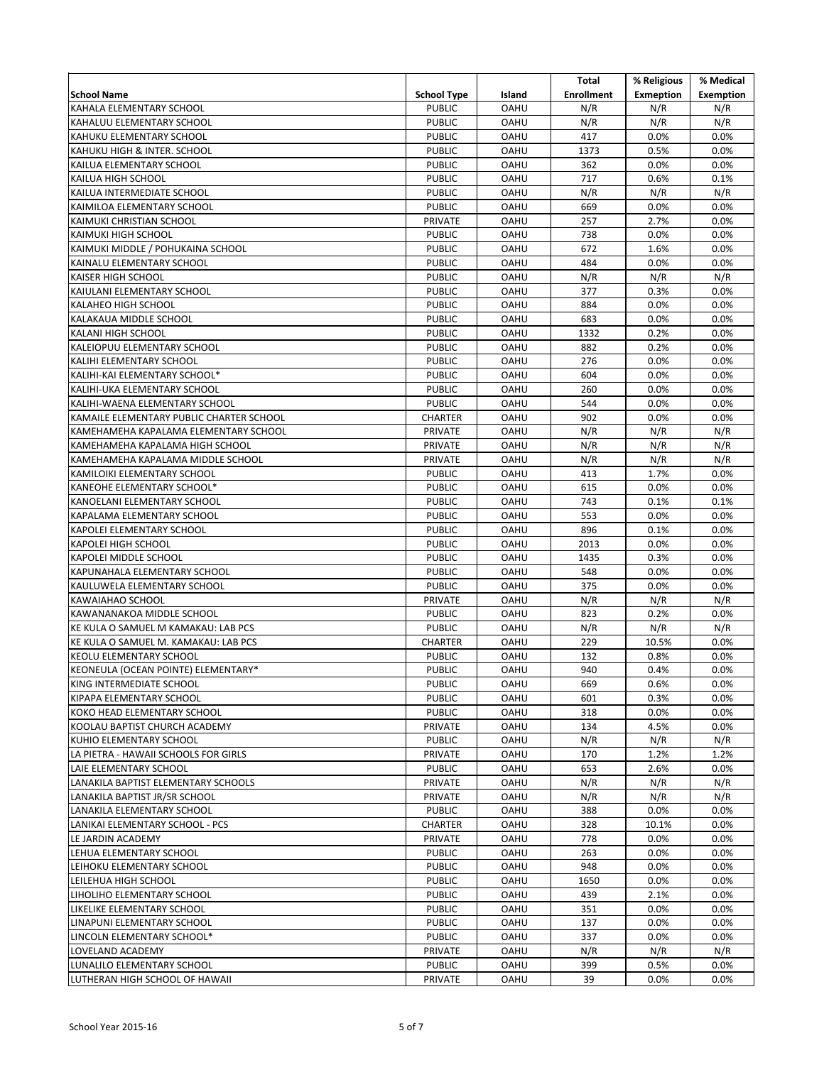|                                                             |                                |                            | Total             | % Religious      | % Medical        |
|-------------------------------------------------------------|--------------------------------|----------------------------|-------------------|------------------|------------------|
| <b>School Name</b>                                          | <b>School Type</b>             | Island                     | <b>Enrollment</b> | <b>Exmeption</b> | <b>Exemption</b> |
| KAHALA ELEMENTARY SCHOOL                                    | <b>PUBLIC</b>                  | <b>OAHU</b>                | N/R               | N/R              | N/R              |
| KAHALUU ELEMENTARY SCHOOL                                   | <b>PUBLIC</b>                  | OAHU                       | N/R               | N/R              | N/R              |
| KAHUKU ELEMENTARY SCHOOL                                    | <b>PUBLIC</b>                  | OAHU                       | 417               | 0.0%             | 0.0%             |
| KAHUKU HIGH & INTER. SCHOOL                                 | <b>PUBLIC</b>                  | <b>OAHU</b>                | 1373              | 0.5%             | 0.0%             |
| KAILUA ELEMENTARY SCHOOL                                    | <b>PUBLIC</b>                  | <b>OAHU</b>                | 362               | 0.0%             | 0.0%             |
| KAILUA HIGH SCHOOL                                          | <b>PUBLIC</b>                  | OAHU                       | 717               | 0.6%             | 0.1%             |
| KAILUA INTERMEDIATE SCHOOL                                  | <b>PUBLIC</b>                  | OAHU                       | N/R               | N/R              | N/R              |
| KAIMILOA ELEMENTARY SCHOOL                                  | <b>PUBLIC</b>                  | OAHU                       | 669               | 0.0%             | 0.0%             |
| KAIMUKI CHRISTIAN SCHOOL                                    | <b>PRIVATE</b>                 | OAHU                       | 257               | 2.7%             | 0.0%             |
| <b>KAIMUKI HIGH SCHOOL</b>                                  | <b>PUBLIC</b>                  | OAHU                       | 738               | 0.0%             | 0.0%             |
| KAIMUKI MIDDLE / POHUKAINA SCHOOL                           | <b>PUBLIC</b>                  | OAHU                       | 672               | 1.6%             | 0.0%             |
| KAINALU ELEMENTARY SCHOOL                                   | <b>PUBLIC</b>                  | OAHU                       | 484               | 0.0%             | 0.0%             |
| <b>KAISER HIGH SCHOOL</b>                                   | <b>PUBLIC</b>                  | OAHU                       | N/R               | N/R              | N/R              |
| KAIULANI ELEMENTARY SCHOOL                                  | <b>PUBLIC</b>                  | OAHU                       | 377               | 0.3%             | 0.0%             |
| KALAHEO HIGH SCHOOL                                         | <b>PUBLIC</b>                  | OAHU                       | 884               | 0.0%             | 0.0%             |
| KALAKAUA MIDDLE SCHOOL                                      | <b>PUBLIC</b>                  | OAHU                       | 683               | 0.0%             | 0.0%             |
| <b>KALANI HIGH SCHOOL</b>                                   | <b>PUBLIC</b>                  | OAHU                       | 1332              | 0.2%             | 0.0%             |
| KALEIOPUU ELEMENTARY SCHOOL                                 | <b>PUBLIC</b>                  | OAHU                       | 882               | 0.2%             | 0.0%             |
| KALIHI ELEMENTARY SCHOOL                                    | <b>PUBLIC</b>                  | OAHU                       | 276               | 0.0%             | 0.0%             |
| KALIHI-KAI ELEMENTARY SCHOOL*                               | <b>PUBLIC</b>                  | <b>OAHU</b>                | 604               | 0.0%             | 0.0%             |
| KALIHI-UKA ELEMENTARY SCHOOL                                | <b>PUBLIC</b>                  | <b>OAHU</b>                | 260               | 0.0%             | 0.0%             |
| KALIHI-WAENA ELEMENTARY SCHOOL                              | <b>PUBLIC</b>                  | OAHU                       | 544               | 0.0%             | 0.0%             |
| KAMAILE ELEMENTARY PUBLIC CHARTER SCHOOL                    | <b>CHARTER</b>                 | <b>OAHU</b>                | 902               | 0.0%             | 0.0%             |
| KAMEHAMEHA KAPALAMA ELEMENTARY SCHOOL                       | <b>PRIVATE</b>                 | <b>OAHU</b>                | N/R               | N/R              | N/R              |
| KAMEHAMEHA KAPALAMA HIGH SCHOOL                             | <b>PRIVATE</b>                 | <b>OAHU</b>                | N/R               | N/R              | N/R              |
| KAMEHAMEHA KAPALAMA MIDDLE SCHOOL                           | <b>PRIVATE</b>                 | <b>OAHU</b>                | N/R               | N/R              | N/R              |
| KAMILOIKI ELEMENTARY SCHOOL                                 | <b>PUBLIC</b>                  | <b>OAHU</b>                | 413               | 1.7%             | 0.0%             |
| KANEOHE ELEMENTARY SCHOOL*                                  | <b>PUBLIC</b>                  | <b>OAHU</b>                | 615               | 0.0%             | 0.0%             |
| KANOELANI ELEMENTARY SCHOOL                                 | <b>PUBLIC</b>                  | <b>OAHU</b>                | 743               | 0.1%             | 0.1%             |
| KAPALAMA ELEMENTARY SCHOOL                                  | <b>PUBLIC</b>                  | <b>OAHU</b>                | 553               | 0.0%             | 0.0%             |
| KAPOLEI ELEMENTARY SCHOOL                                   | <b>PUBLIC</b>                  | <b>OAHU</b>                | 896               | 0.1%             | 0.0%             |
| <b>KAPOLEI HIGH SCHOOL</b>                                  | <b>PUBLIC</b>                  | <b>OAHU</b>                | 2013              | 0.0%             | 0.0%             |
| <b>KAPOLEI MIDDLE SCHOOL</b>                                | <b>PUBLIC</b>                  | <b>OAHU</b>                | 1435              | 0.3%             | 0.0%             |
| KAPUNAHALA ELEMENTARY SCHOOL<br>KAULUWELA ELEMENTARY SCHOOL | <b>PUBLIC</b><br><b>PUBLIC</b> | <b>OAHU</b><br><b>OAHU</b> | 548<br>375        | 0.0%<br>0.0%     | 0.0%<br>0.0%     |
| KAWAIAHAO SCHOOL                                            | <b>PRIVATE</b>                 | <b>OAHU</b>                | N/R               | N/R              | N/R              |
| KAWANANAKOA MIDDLE SCHOOL                                   | <b>PUBLIC</b>                  | OAHU                       | 823               | 0.2%             | 0.0%             |
| KE KULA O SAMUEL M KAMAKAU: LAB PCS                         | <b>PUBLIC</b>                  | <b>OAHU</b>                | N/R               | N/R              | N/R              |
| KE KULA O SAMUEL M. KAMAKAU: LAB PCS                        | <b>CHARTER</b>                 | OAHU                       | 229               | 10.5%            | 0.0%             |
| KEOLU ELEMENTARY SCHOOL                                     | <b>PUBLIC</b>                  | OAHU                       | 132               | 0.8%             | 0.0%             |
| KEONEULA (OCEAN POINTE) ELEMENTARY*                         | <b>PUBLIC</b>                  | <b>OAHU</b>                | 940               | 0.4%             | 0.0%             |
| KING INTERMEDIATE SCHOOL                                    | <b>PUBLIC</b>                  | <b>OAHU</b>                | 669               | 0.6%             | $0.0\%$          |
| KIPAPA ELEMENTARY SCHOOL                                    | <b>PUBLIC</b>                  | <b>OAHU</b>                | 601               | 0.3%             | 0.0%             |
| KOKO HEAD ELEMENTARY SCHOOL                                 | <b>PUBLIC</b>                  | <b>OAHU</b>                | 318               | $0.0\%$          | 0.0%             |
| KOOLAU BAPTIST CHURCH ACADEMY                               | PRIVATE                        | <b>OAHU</b>                | 134               | 4.5%             | $0.0\%$          |
| KUHIO ELEMENTARY SCHOOL                                     | <b>PUBLIC</b>                  | <b>OAHU</b>                | N/R               | N/R              | N/R              |
| LA PIETRA - HAWAII SCHOOLS FOR GIRLS                        | PRIVATE                        | <b>OAHU</b>                | 170               | 1.2%             | 1.2%             |
| LAIE ELEMENTARY SCHOOL                                      | <b>PUBLIC</b>                  | <b>OAHU</b>                | 653               | 2.6%             | 0.0%             |
| LANAKILA BAPTIST ELEMENTARY SCHOOLS                         | PRIVATE                        | OAHU                       | N/R               | N/R              | N/R              |
| LANAKILA BAPTIST JR/SR SCHOOL                               | PRIVATE                        | <b>OAHU</b>                | N/R               | N/R              | N/R              |
| LANAKILA ELEMENTARY SCHOOL                                  | <b>PUBLIC</b>                  | <b>OAHU</b>                | 388               | $0.0\%$          | 0.0%             |
| LANIKAI ELEMENTARY SCHOOL - PCS                             | <b>CHARTER</b>                 | <b>OAHU</b>                | 328               | 10.1%            | 0.0%             |
| LE JARDIN ACADEMY                                           | PRIVATE                        | <b>OAHU</b>                | 778               | $0.0\%$          | $0.0\%$          |
| LEHUA ELEMENTARY SCHOOL                                     | <b>PUBLIC</b>                  | <b>OAHU</b>                | 263               | $0.0\%$          | 0.0%             |
| LEIHOKU ELEMENTARY SCHOOL                                   | <b>PUBLIC</b>                  | <b>OAHU</b>                | 948               | $0.0\%$          | $0.0\%$          |
| LEILEHUA HIGH SCHOOL                                        | <b>PUBLIC</b>                  | OAHU                       | 1650              | $0.0\%$          | 0.0%             |
| LIHOLIHO ELEMENTARY SCHOOL                                  | <b>PUBLIC</b>                  | OAHU                       | 439               | 2.1%             | 0.0%             |
| LIKELIKE ELEMENTARY SCHOOL                                  | <b>PUBLIC</b>                  | <b>OAHU</b>                | 351               | 0.0%             | 0.0%             |
| LINAPUNI ELEMENTARY SCHOOL                                  | <b>PUBLIC</b>                  | <b>OAHU</b>                | 137               | $0.0\%$          | 0.0%             |
| LINCOLN ELEMENTARY SCHOOL*                                  | <b>PUBLIC</b>                  | OAHU                       | 337               | $0.0\%$          | 0.0%             |
| LOVELAND ACADEMY                                            | PRIVATE                        | OAHU                       | N/R               | N/R              | N/R              |
| LUNALILO ELEMENTARY SCHOOL                                  | <b>PUBLIC</b>                  | OAHU                       | 399               | 0.5%             | 0.0%             |
| LUTHERAN HIGH SCHOOL OF HAWAII                              | PRIVATE                        | OAHU                       | 39                | 0.0%             | 0.0%             |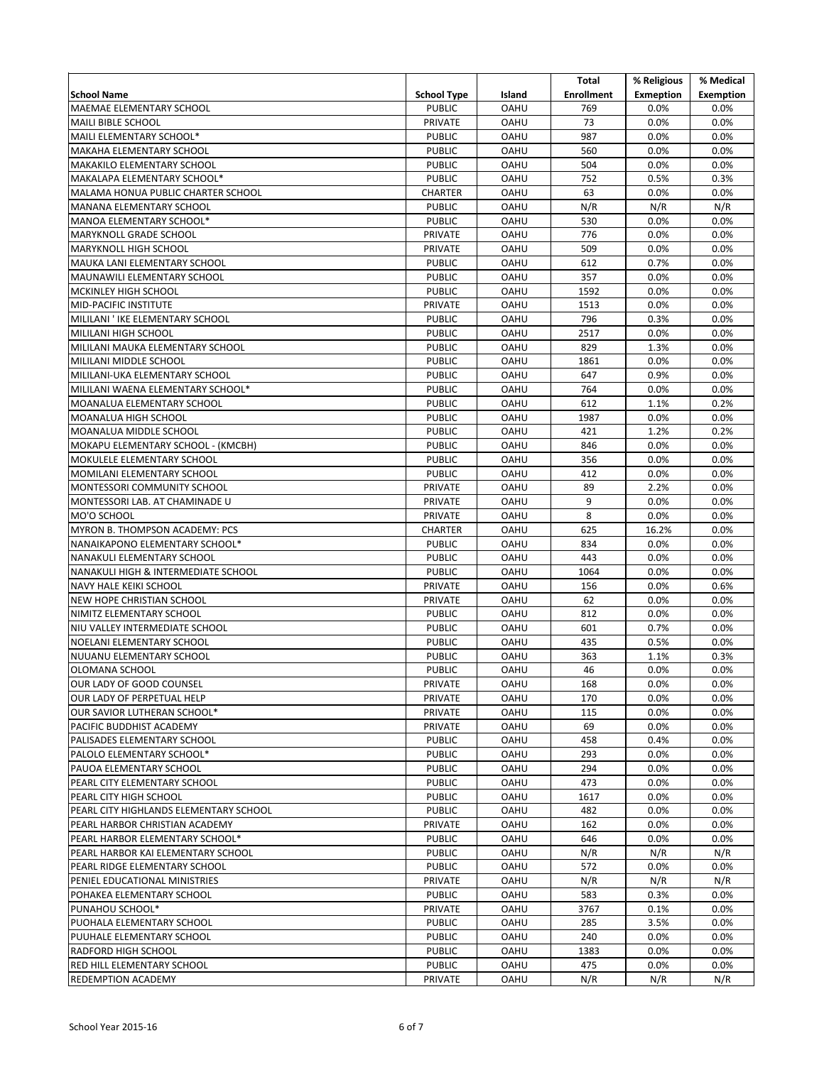|                                                            |                                 |                     | Total             | % Religious      | % Medical        |
|------------------------------------------------------------|---------------------------------|---------------------|-------------------|------------------|------------------|
| <b>School Name</b>                                         | <b>School Type</b>              | Island              | <b>Enrollment</b> | <b>Exmeption</b> | <b>Exemption</b> |
| MAEMAE ELEMENTARY SCHOOL                                   | <b>PUBLIC</b>                   | <b>OAHU</b>         | 769               | 0.0%             | 0.0%             |
| MAILI BIBLE SCHOOL                                         | <b>PRIVATE</b>                  | OAHU                | 73                | 0.0%             | 0.0%             |
| MAILI ELEMENTARY SCHOOL*                                   | <b>PUBLIC</b>                   | OAHU                | 987               | 0.0%             | 0.0%             |
| <b>MAKAHA ELEMENTARY SCHOOL</b>                            | <b>PUBLIC</b>                   | <b>OAHU</b>         | 560               | 0.0%             | 0.0%             |
| <b>MAKAKILO ELEMENTARY SCHOOL</b>                          | <b>PUBLIC</b>                   | <b>OAHU</b>         | 504               | 0.0%             | 0.0%             |
| MAKALAPA ELEMENTARY SCHOOL*                                | <b>PUBLIC</b>                   | OAHU                | 752               | 0.5%             | 0.3%             |
| MALAMA HONUA PUBLIC CHARTER SCHOOL                         | <b>CHARTER</b>                  | OAHU                | 63                | 0.0%             | 0.0%             |
| <b>MANANA ELEMENTARY SCHOOL</b>                            | <b>PUBLIC</b>                   | <b>OAHU</b>         | N/R               | N/R              | N/R              |
| MANOA ELEMENTARY SCHOOL*                                   | <b>PUBLIC</b>                   | <b>OAHU</b>         | 530               | 0.0%             | 0.0%             |
| <b>MARYKNOLL GRADE SCHOOL</b>                              | <b>PRIVATE</b>                  | OAHU                | 776               | 0.0%             | 0.0%             |
| MARYKNOLL HIGH SCHOOL                                      | <b>PRIVATE</b>                  | <b>OAHU</b>         | 509               | 0.0%             | 0.0%             |
| MAUKA LANI ELEMENTARY SCHOOL                               | <b>PUBLIC</b>                   | <b>OAHU</b>         | 612               | 0.7%             | 0.0%             |
| MAUNAWILI ELEMENTARY SCHOOL                                | <b>PUBLIC</b>                   | OAHU                | 357               | 0.0%             | 0.0%             |
| MCKINLEY HIGH SCHOOL                                       | <b>PUBLIC</b>                   | OAHU                | 1592              | 0.0%             | 0.0%             |
| MID-PACIFIC INSTITUTE                                      | <b>PRIVATE</b>                  | OAHU                | 1513              | 0.0%             | 0.0%             |
| MILILANI ' IKE ELEMENTARY SCHOOL                           | <b>PUBLIC</b>                   | OAHU                | 796               | 0.3%             | 0.0%             |
| MILILANI HIGH SCHOOL                                       | <b>PUBLIC</b>                   | <b>OAHU</b>         | 2517              | 0.0%             | 0.0%             |
| MILILANI MAUKA ELEMENTARY SCHOOL                           | <b>PUBLIC</b>                   | OAHU                | 829               | 1.3%             | 0.0%             |
| MILILANI MIDDLE SCHOOL                                     | <b>PUBLIC</b>                   | <b>OAHU</b>         | 1861              | 0.0%             | 0.0%             |
| MILILANI-UKA ELEMENTARY SCHOOL                             | <b>PUBLIC</b>                   | <b>OAHU</b>         | 647               | 0.9%             | 0.0%             |
| MILILANI WAENA ELEMENTARY SCHOOL*                          | <b>PUBLIC</b>                   | <b>OAHU</b>         | 764               | 0.0%             | 0.0%             |
| MOANALUA ELEMENTARY SCHOOL                                 | <b>PUBLIC</b>                   | OAHU                | 612               | 1.1%             | 0.2%             |
| MOANALUA HIGH SCHOOL                                       | <b>PUBLIC</b>                   | <b>OAHU</b>         | 1987              | 0.0%             | 0.0%             |
| MOANALUA MIDDLE SCHOOL                                     | <b>PUBLIC</b>                   | <b>OAHU</b>         | 421               | 1.2%             | 0.2%             |
| MOKAPU ELEMENTARY SCHOOL - (KMCBH)                         | <b>PUBLIC</b>                   | OAHU                | 846               | 0.0%             | 0.0%             |
| MOKULELE ELEMENTARY SCHOOL                                 | <b>PUBLIC</b>                   | OAHU                | 356               | 0.0%             | 0.0%             |
| MOMILANI ELEMENTARY SCHOOL                                 | <b>PUBLIC</b>                   | OAHU                | 412               | 0.0%             | 0.0%             |
| MONTESSORI COMMUNITY SCHOOL                                | <b>PRIVATE</b>                  | <b>OAHU</b>         | 89                | 2.2%             | 0.0%             |
| MONTESSORI LAB. AT CHAMINADE U                             | PRIVATE                         | <b>OAHU</b>         | 9                 | 0.0%             | 0.0%             |
| MO'O SCHOOL                                                | <b>PRIVATE</b>                  | <b>OAHU</b>         | 8                 | 0.0%             | 0.0%             |
| MYRON B. THOMPSON ACADEMY: PCS                             | <b>CHARTER</b>                  | <b>OAHU</b>         | 625               | 16.2%            | 0.0%             |
| NANAIKAPONO ELEMENTARY SCHOOL*                             | <b>PUBLIC</b>                   | <b>OAHU</b>         | 834               | 0.0%             | 0.0%             |
| NANAKULI ELEMENTARY SCHOOL                                 | <b>PUBLIC</b>                   | OAHU                | 443               | 0.0%             | 0.0%             |
| NANAKULI HIGH & INTERMEDIATE SCHOOL                        | <b>PUBLIC</b><br><b>PRIVATE</b> | OAHU                | 1064<br>156       | 0.0%<br>0.0%     | 0.0%<br>0.6%     |
| <b>NAVY HALE KEIKI SCHOOL</b><br>NEW HOPE CHRISTIAN SCHOOL | <b>PRIVATE</b>                  | OAHU<br><b>OAHU</b> | 62                | 0.0%             | 0.0%             |
| NIMITZ ELEMENTARY SCHOOL                                   | <b>PUBLIC</b>                   | <b>OAHU</b>         | 812               | 0.0%             | 0.0%             |
| NIU VALLEY INTERMEDIATE SCHOOL                             | <b>PUBLIC</b>                   | OAHU                | 601               | 0.7%             | 0.0%             |
| NOELANI ELEMENTARY SCHOOL                                  | <b>PUBLIC</b>                   | <b>OAHU</b>         | 435               | 0.5%             | 0.0%             |
| NUUANU ELEMENTARY SCHOOL                                   | <b>PUBLIC</b>                   | OAHU                | 363               | 1.1%             | 0.3%             |
| OLOMANA SCHOOL                                             | <b>PUBLIC</b>                   | <b>OAHU</b>         | 46                | 0.0%             | 0.0%             |
| OUR LADY OF GOOD COUNSEL                                   | PRIVATE                         | <b>OAHU</b>         | 168               | 0.0%             | 0.0%             |
| OUR LADY OF PERPETUAL HELP                                 | PRIVATE                         | <b>OAHU</b>         | 170               | $0.0\%$          | 0.0%             |
| OUR SAVIOR LUTHERAN SCHOOL*                                | PRIVATE                         | <b>OAHU</b>         | 115               | $0.0\%$          | 0.0%             |
| PACIFIC BUDDHIST ACADEMY                                   | <b>PRIVATE</b>                  | <b>OAHU</b>         | 69                | $0.0\%$          | $0.0\%$          |
| PALISADES ELEMENTARY SCHOOL                                | <b>PUBLIC</b>                   | <b>OAHU</b>         | 458               | 0.4%             | 0.0%             |
| PALOLO ELEMENTARY SCHOOL*                                  | <b>PUBLIC</b>                   | <b>OAHU</b>         | 293               | $0.0\%$          | 0.0%             |
| PAUOA ELEMENTARY SCHOOL                                    | <b>PUBLIC</b>                   | <b>OAHU</b>         | 294               | $0.0\%$          | 0.0%             |
| PEARL CITY ELEMENTARY SCHOOL                               | <b>PUBLIC</b>                   | <b>OAHU</b>         | 473               | $0.0\%$          | 0.0%             |
| PEARL CITY HIGH SCHOOL                                     | <b>PUBLIC</b>                   | <b>OAHU</b>         | 1617              | 0.0%             | 0.0%             |
| PEARL CITY HIGHLANDS ELEMENTARY SCHOOL                     | <b>PUBLIC</b>                   | <b>OAHU</b>         | 482               | $0.0\%$          | 0.0%             |
| PEARL HARBOR CHRISTIAN ACADEMY                             | PRIVATE                         | <b>OAHU</b>         | 162               | $0.0\%$          | $0.0\%$          |
| PEARL HARBOR ELEMENTARY SCHOOL*                            | <b>PUBLIC</b>                   | <b>OAHU</b>         | 646               | $0.0\%$          | $0.0\%$          |
| PEARL HARBOR KAI ELEMENTARY SCHOOL                         | <b>PUBLIC</b>                   | <b>OAHU</b>         | N/R               | N/R              | N/R              |
| PEARL RIDGE ELEMENTARY SCHOOL                              | <b>PUBLIC</b>                   | <b>OAHU</b>         | 572               | $0.0\%$          | $0.0\%$          |
| PENIEL EDUCATIONAL MINISTRIES                              | PRIVATE                         | <b>OAHU</b>         | N/R               | N/R              | N/R              |
| POHAKEA ELEMENTARY SCHOOL                                  | <b>PUBLIC</b>                   | OAHU                | 583               | 0.3%             | $0.0\%$          |
| PUNAHOU SCHOOL*                                            | PRIVATE                         | <b>OAHU</b>         | 3767              | 0.1%             | 0.0%             |
| PUOHALA ELEMENTARY SCHOOL                                  | <b>PUBLIC</b>                   | <b>OAHU</b>         | 285               | 3.5%             | 0.0%             |
| PUUHALE ELEMENTARY SCHOOL                                  | <b>PUBLIC</b>                   | <b>OAHU</b>         | 240               | $0.0\%$          | 0.0%             |
| <b>RADFORD HIGH SCHOOL</b>                                 | <b>PUBLIC</b>                   | <b>OAHU</b>         | 1383              | $0.0\%$          | 0.0%             |
| <b>RED HILL ELEMENTARY SCHOOL</b>                          | <b>PUBLIC</b>                   | <b>OAHU</b>         | 475               | $0.0\%$          | $0.0\%$          |
| <b>REDEMPTION ACADEMY</b>                                  | PRIVATE                         | OAHU                | N/R               | N/R              | N/R              |